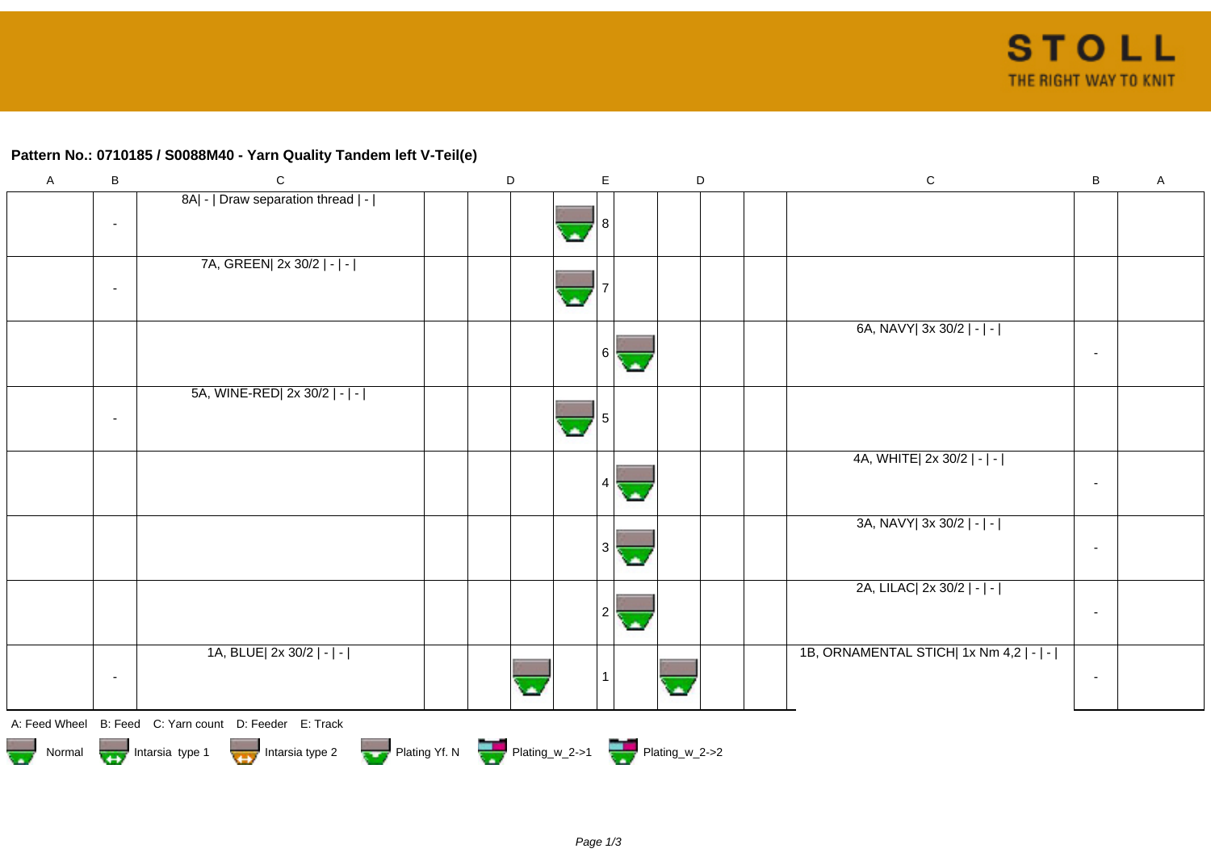## **Pattern No.: 0710185 / S0088M40 - Yarn Quality Tandem left V-Teil(e)**

| $\mathsf{A}$  | B                        | $\mathsf C$                                                                                                                                                                                                                          | D | E                        | D | ${\rm C}$                               | B                        | $\mathsf{A}$ |
|---------------|--------------------------|--------------------------------------------------------------------------------------------------------------------------------------------------------------------------------------------------------------------------------------|---|--------------------------|---|-----------------------------------------|--------------------------|--------------|
|               |                          | 8A  -   Draw separation thread   -                                                                                                                                                                                                   |   |                          |   |                                         |                          |              |
|               | $\overline{\phantom{a}}$ |                                                                                                                                                                                                                                      |   |                          |   |                                         |                          |              |
|               |                          |                                                                                                                                                                                                                                      |   | $\overline{\phantom{a}}$ |   |                                         |                          |              |
|               |                          | 7A, GREEN  2x 30/2   -   -                                                                                                                                                                                                           |   |                          |   |                                         |                          |              |
|               |                          |                                                                                                                                                                                                                                      |   |                          |   |                                         |                          |              |
|               | $\overline{\phantom{a}}$ |                                                                                                                                                                                                                                      |   | $\blacktriangle$         |   |                                         |                          |              |
|               |                          |                                                                                                                                                                                                                                      |   |                          |   |                                         |                          |              |
|               |                          |                                                                                                                                                                                                                                      |   |                          |   | 6A, NAVY  3x 30/2   -   -               |                          |              |
|               |                          |                                                                                                                                                                                                                                      |   | l 6 l                    |   |                                         | $\overline{\phantom{a}}$ |              |
|               |                          |                                                                                                                                                                                                                                      |   | ä.                       |   |                                         |                          |              |
|               |                          | 5A, WINE-RED  2x 30/2   -   -                                                                                                                                                                                                        |   |                          |   |                                         |                          |              |
|               |                          |                                                                                                                                                                                                                                      |   |                          |   |                                         |                          |              |
|               | $\overline{\phantom{a}}$ |                                                                                                                                                                                                                                      |   |                          |   |                                         |                          |              |
|               |                          |                                                                                                                                                                                                                                      |   |                          |   |                                         |                          |              |
|               |                          |                                                                                                                                                                                                                                      |   |                          |   | 4A, WHITE  2x 30/2   -   -              |                          |              |
|               |                          |                                                                                                                                                                                                                                      |   |                          |   |                                         | $\sim$                   |              |
|               |                          |                                                                                                                                                                                                                                      |   |                          |   |                                         |                          |              |
|               |                          |                                                                                                                                                                                                                                      |   |                          |   | 3A, NAVY  3x 30/2   -   -               |                          |              |
|               |                          |                                                                                                                                                                                                                                      |   |                          |   |                                         |                          |              |
|               |                          |                                                                                                                                                                                                                                      |   | 3<br>СA,                 |   |                                         | $\overline{\phantom{a}}$ |              |
|               |                          |                                                                                                                                                                                                                                      |   |                          |   |                                         |                          |              |
|               |                          |                                                                                                                                                                                                                                      |   |                          |   | 2A, LILAC  2x 30/2   -   -              |                          |              |
|               |                          |                                                                                                                                                                                                                                      |   | 2                        |   |                                         | $\sim$                   |              |
|               |                          |                                                                                                                                                                                                                                      |   | ×                        |   |                                         |                          |              |
|               |                          | 1A, BLUE  2x 30/2   -   -                                                                                                                                                                                                            |   |                          |   | 1B, ORNAMENTAL STICH  1x Nm 4,2   -   - |                          |              |
|               |                          |                                                                                                                                                                                                                                      |   |                          |   |                                         |                          |              |
|               | $\sim$                   |                                                                                                                                                                                                                                      |   |                          |   |                                         | $\sim$                   |              |
|               |                          |                                                                                                                                                                                                                                      |   |                          |   |                                         |                          |              |
|               |                          | A: Feed Wheel B: Feed C: Yarn count D: Feeder E: Track                                                                                                                                                                               |   |                          |   |                                         |                          |              |
|               |                          |                                                                                                                                                                                                                                      |   |                          |   |                                         |                          |              |
| $\frac{1}{2}$ |                          | Normal <b>Department of the Second Line of the Second Second Second Second Second Second Second Second Second Second Second Second Second Second Second Second Second Second Second Second Second Second Second Second Second Se</b> |   |                          |   |                                         |                          |              |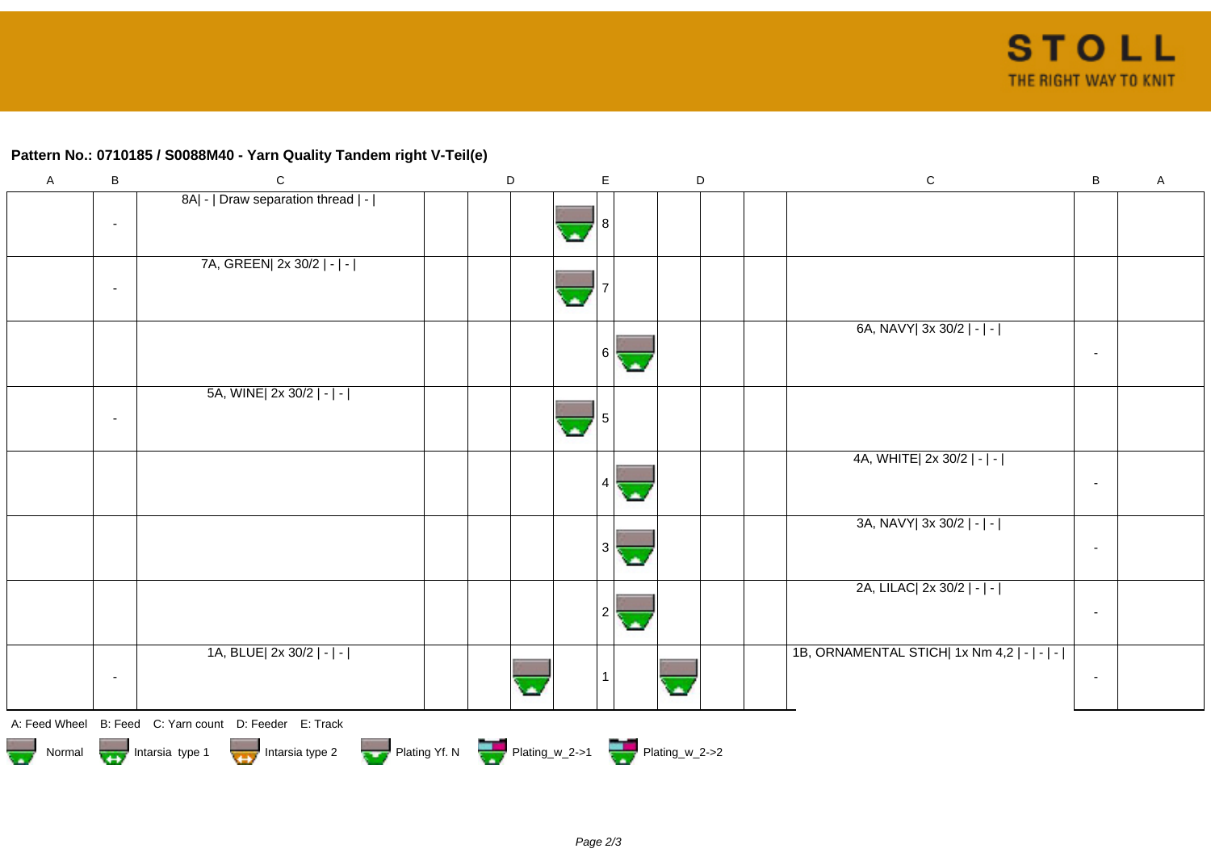## **Pattern No.: 0710185 / S0088M40 - Yarn Quality Tandem right V-Teil(e)**

| $\mathsf{A}$                      | $\sf B$                  | ${\bf C}$                                                                   | $\mathsf D$ | E                    | D                       | ${\rm C}$                                   | B                        | $\mathsf A$ |
|-----------------------------------|--------------------------|-----------------------------------------------------------------------------|-------------|----------------------|-------------------------|---------------------------------------------|--------------------------|-------------|
|                                   | $\sim$                   | 8A  -   Draw separation thread   -                                          |             |                      |                         |                                             |                          |             |
|                                   |                          |                                                                             |             |                      |                         |                                             |                          |             |
|                                   |                          | 7A, GREEN 2x 30/2   -   -                                                   |             |                      |                         |                                             |                          |             |
|                                   | $\blacksquare$           |                                                                             |             | ×                    |                         |                                             |                          |             |
|                                   |                          |                                                                             |             | 6 <br>с.             |                         | 6A, NAVY  3x 30/2   -   -                   | $\overline{\phantom{a}}$ |             |
|                                   |                          | 5A, WINE  2x 30/2   -   -                                                   |             |                      |                         |                                             |                          |             |
|                                   | $\overline{\phantom{a}}$ |                                                                             |             |                      |                         |                                             |                          |             |
|                                   |                          |                                                                             |             |                      |                         | 4A, WHITE  2x 30/2   -   -                  |                          |             |
|                                   |                          |                                                                             |             |                      |                         |                                             | $\sim$                   |             |
|                                   |                          |                                                                             |             |                      |                         | 3A, NAVY  3x 30/2   -   -                   |                          |             |
|                                   |                          |                                                                             |             | $3 \mid$<br>C.       |                         |                                             | $\sim$                   |             |
|                                   |                          |                                                                             |             |                      |                         | 2A, LILAC  2x 30/2   -   -                  |                          |             |
|                                   |                          |                                                                             |             | $\mathbf{2}^{\circ}$ |                         |                                             | $\sim$                   |             |
|                                   |                          | 1A, BLUE  2x 30/2   -   -                                                   |             |                      |                         | 1B, ORNAMENTAL STICH  1x Nm 4,2   -   -   - |                          |             |
|                                   | $\sim$                   |                                                                             |             |                      | $\overline{\mathbf{z}}$ |                                             | $\sim$                   |             |
|                                   |                          | A: Feed Wheel B: Feed C: Yarn count D: Feeder E: Track                      |             |                      |                         |                                             |                          |             |
| $\overline{\mathbf{v}}$<br>Normal |                          | Intarsia type 1 Intarsia type 2 Plating Yf. N Plating_w_2->1 Plating_w_2->2 |             |                      |                         |                                             |                          |             |